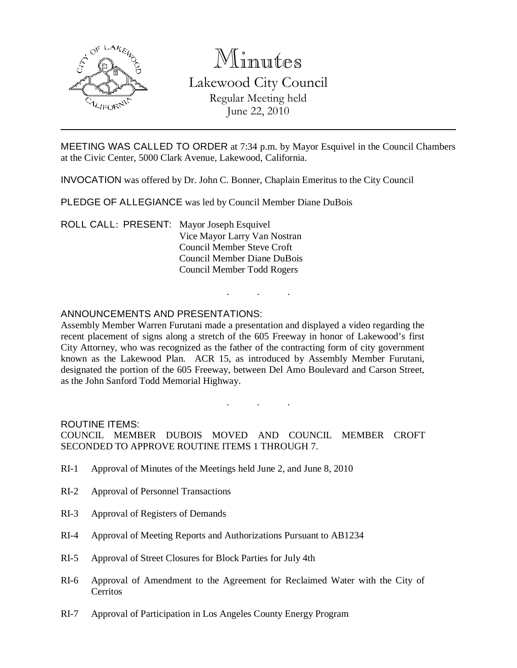

# Minutes

Lakewood City Council Regular Meeting held June 22, 2010

MEETING WAS CALLED TO ORDER at 7:34 p.m. by Mayor Esquivel in the Council Chambers at the Civic Center, 5000 Clark Avenue, Lakewood, California.

INVOCATION was offered by Dr. John C. Bonner, Chaplain Emeritus to the City Council

PLEDGE OF ALLEGIANCE was led by Council Member Diane DuBois

ROLL CALL: PRESENT: Mayor Joseph Esquivel Vice Mayor Larry Van Nostran Council Member Steve Croft Council Member Diane DuBois Council Member Todd Rogers

## ANNOUNCEMENTS AND PRESENTATIONS:

Assembly Member Warren Furutani made a presentation and displayed a video regarding the recent placement of signs along a stretch of the 605 Freeway in honor of Lakewood's first City Attorney, who was recognized as the father of the contracting form of city government known as the Lakewood Plan. ACR 15, as introduced by Assembly Member Furutani, designated the portion of the 605 Freeway, between Del Amo Boulevard and Carson Street, as the John Sanford Todd Memorial Highway.

. . .

ROUTINE ITEMS:

COUNCIL MEMBER DUBOIS MOVED AND COUNCIL MEMBER CROFT SECONDED TO APPROVE ROUTINE ITEMS 1 THROUGH 7.

. . .

- RI-1 Approval of Minutes of the Meetings held June 2, and June 8, 2010
- RI-2 Approval of Personnel Transactions
- RI-3 Approval of Registers of Demands
- RI-4 Approval of Meeting Reports and Authorizations Pursuant to AB1234
- RI-5 Approval of Street Closures for Block Parties for July 4th
- RI-6 Approval of Amendment to the Agreement for Reclaimed Water with the City of **Cerritos**
- RI-7 Approval of Participation in Los Angeles County Energy Program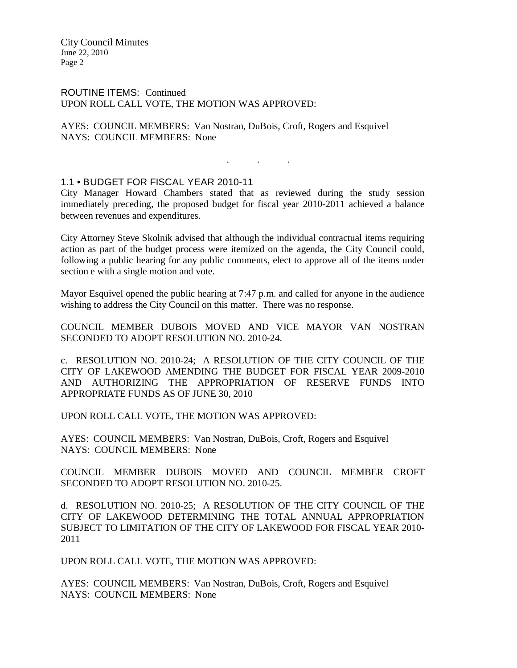ROUTINE ITEMS: Continued UPON ROLL CALL VOTE, THE MOTION WAS APPROVED:

AYES: COUNCIL MEMBERS: Van Nostran, DuBois, Croft, Rogers and Esquivel NAYS: COUNCIL MEMBERS: None

. . .

# 1.1 • BUDGET FOR FISCAL YEAR 2010-11

City Manager Howard Chambers stated that as reviewed during the study session immediately preceding, the proposed budget for fiscal year 2010-2011 achieved a balance between revenues and expenditures.

City Attorney Steve Skolnik advised that although the individual contractual items requiring action as part of the budget process were itemized on the agenda, the City Council could, following a public hearing for any public comments, elect to approve all of the items under section e with a single motion and vote.

Mayor Esquivel opened the public hearing at 7:47 p.m. and called for anyone in the audience wishing to address the City Council on this matter. There was no response.

COUNCIL MEMBER DUBOIS MOVED AND VICE MAYOR VAN NOSTRAN SECONDED TO ADOPT RESOLUTION NO. 2010-24.

c. RESOLUTION NO. 2010-24; A RESOLUTION OF THE CITY COUNCIL OF THE CITY OF LAKEWOOD AMENDING THE BUDGET FOR FISCAL YEAR 2009-2010 AND AUTHORIZING THE APPROPRIATION OF RESERVE FUNDS INTO APPROPRIATE FUNDS AS OF JUNE 30, 2010

UPON ROLL CALL VOTE, THE MOTION WAS APPROVED:

AYES: COUNCIL MEMBERS: Van Nostran, DuBois, Croft, Rogers and Esquivel NAYS: COUNCIL MEMBERS: None

COUNCIL MEMBER DUBOIS MOVED AND COUNCIL MEMBER CROFT SECONDED TO ADOPT RESOLUTION NO. 2010-25.

d. RESOLUTION NO. 2010-25; A RESOLUTION OF THE CITY COUNCIL OF THE CITY OF LAKEWOOD DETERMINING THE TOTAL ANNUAL APPROPRIATION SUBJECT TO LIMITATION OF THE CITY OF LAKEWOOD FOR FISCAL YEAR 2010- 2011

UPON ROLL CALL VOTE, THE MOTION WAS APPROVED:

AYES: COUNCIL MEMBERS: Van Nostran, DuBois, Croft, Rogers and Esquivel NAYS: COUNCIL MEMBERS: None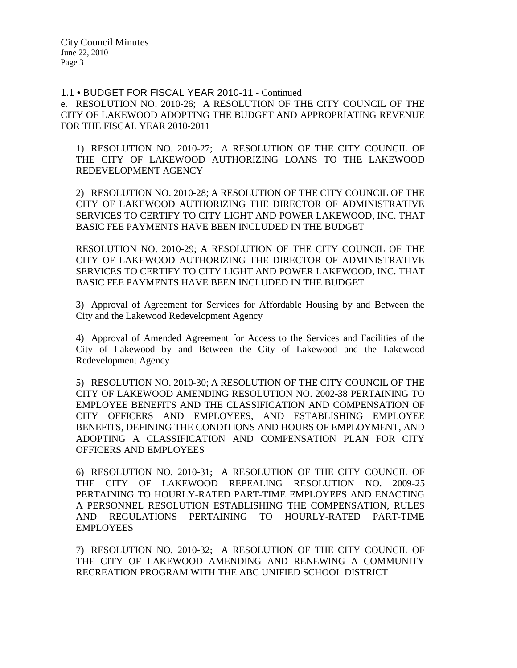1.1 • BUDGET FOR FISCAL YEAR 2010-11 - Continued

e. RESOLUTION NO. 2010-26; A RESOLUTION OF THE CITY COUNCIL OF THE CITY OF LAKEWOOD ADOPTING THE BUDGET AND APPROPRIATING REVENUE FOR THE FISCAL YEAR 2010-2011

1) RESOLUTION NO. 2010-27; A RESOLUTION OF THE CITY COUNCIL OF THE CITY OF LAKEWOOD AUTHORIZING LOANS TO THE LAKEWOOD REDEVELOPMENT AGENCY

2) RESOLUTION NO. 2010-28; A RESOLUTION OF THE CITY COUNCIL OF THE CITY OF LAKEWOOD AUTHORIZING THE DIRECTOR OF ADMINISTRATIVE SERVICES TO CERTIFY TO CITY LIGHT AND POWER LAKEWOOD, INC. THAT BASIC FEE PAYMENTS HAVE BEEN INCLUDED IN THE BUDGET

RESOLUTION NO. 2010-29; A RESOLUTION OF THE CITY COUNCIL OF THE CITY OF LAKEWOOD AUTHORIZING THE DIRECTOR OF ADMINISTRATIVE SERVICES TO CERTIFY TO CITY LIGHT AND POWER LAKEWOOD, INC. THAT BASIC FEE PAYMENTS HAVE BEEN INCLUDED IN THE BUDGET

3) Approval of Agreement for Services for Affordable Housing by and Between the City and the Lakewood Redevelopment Agency

4) Approval of Amended Agreement for Access to the Services and Facilities of the City of Lakewood by and Between the City of Lakewood and the Lakewood Redevelopment Agency

5) RESOLUTION NO. 2010-30; A RESOLUTION OF THE CITY COUNCIL OF THE CITY OF LAKEWOOD AMENDING RESOLUTION NO. 2002-38 PERTAINING TO EMPLOYEE BENEFITS AND THE CLASSIFICATION AND COMPENSATION OF CITY OFFICERS AND EMPLOYEES, AND ESTABLISHING EMPLOYEE BENEFITS, DEFINING THE CONDITIONS AND HOURS OF EMPLOYMENT, AND ADOPTING A CLASSIFICATION AND COMPENSATION PLAN FOR CITY OFFICERS AND EMPLOYEES

6) RESOLUTION NO. 2010-31; A RESOLUTION OF THE CITY COUNCIL OF THE CITY OF LAKEWOOD REPEALING RESOLUTION NO. 2009-25 PERTAINING TO HOURLY-RATED PART-TIME EMPLOYEES AND ENACTING A PERSONNEL RESOLUTION ESTABLISHING THE COMPENSATION, RULES AND REGULATIONS PERTAINING TO HOURLY-RATED PART-TIME **EMPLOYEES** 

7) RESOLUTION NO. 2010-32; A RESOLUTION OF THE CITY COUNCIL OF THE CITY OF LAKEWOOD AMENDING AND RENEWING A COMMUNITY RECREATION PROGRAM WITH THE ABC UNIFIED SCHOOL DISTRICT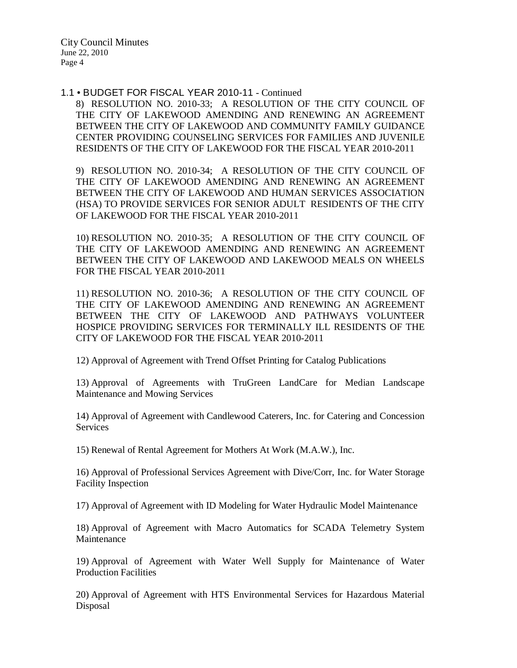1.1 • BUDGET FOR FISCAL YEAR 2010-11 - Continued

8) RESOLUTION NO. 2010-33; A RESOLUTION OF THE CITY COUNCIL OF THE CITY OF LAKEWOOD AMENDING AND RENEWING AN AGREEMENT BETWEEN THE CITY OF LAKEWOOD AND COMMUNITY FAMILY GUIDANCE CENTER PROVIDING COUNSELING SERVICES FOR FAMILIES AND JUVENILE RESIDENTS OF THE CITY OF LAKEWOOD FOR THE FISCAL YEAR 2010-2011

9) RESOLUTION NO. 2010-34; A RESOLUTION OF THE CITY COUNCIL OF THE CITY OF LAKEWOOD AMENDING AND RENEWING AN AGREEMENT BETWEEN THE CITY OF LAKEWOOD AND HUMAN SERVICES ASSOCIATION (HSA) TO PROVIDE SERVICES FOR SENIOR ADULT RESIDENTS OF THE CITY OF LAKEWOOD FOR THE FISCAL YEAR 2010-2011

10) RESOLUTION NO. 2010-35; A RESOLUTION OF THE CITY COUNCIL OF THE CITY OF LAKEWOOD AMENDING AND RENEWING AN AGREEMENT BETWEEN THE CITY OF LAKEWOOD AND LAKEWOOD MEALS ON WHEELS FOR THE FISCAL YEAR 2010-2011

11) RESOLUTION NO. 2010-36; A RESOLUTION OF THE CITY COUNCIL OF THE CITY OF LAKEWOOD AMENDING AND RENEWING AN AGREEMENT BETWEEN THE CITY OF LAKEWOOD AND PATHWAYS VOLUNTEER HOSPICE PROVIDING SERVICES FOR TERMINALLY ILL RESIDENTS OF THE CITY OF LAKEWOOD FOR THE FISCAL YEAR 2010-2011

12) Approval of Agreement with Trend Offset Printing for Catalog Publications

13) Approval of Agreements with TruGreen LandCare for Median Landscape Maintenance and Mowing Services

14) Approval of Agreement with Candlewood Caterers, Inc. for Catering and Concession Services

15) Renewal of Rental Agreement for Mothers At Work (M.A.W.), Inc.

16) Approval of Professional Services Agreement with Dive/Corr, Inc. for Water Storage Facility Inspection

17) Approval of Agreement with ID Modeling for Water Hydraulic Model Maintenance

18) Approval of Agreement with Macro Automatics for SCADA Telemetry System Maintenance

19) Approval of Agreement with Water Well Supply for Maintenance of Water Production Facilities

20) Approval of Agreement with HTS Environmental Services for Hazardous Material Disposal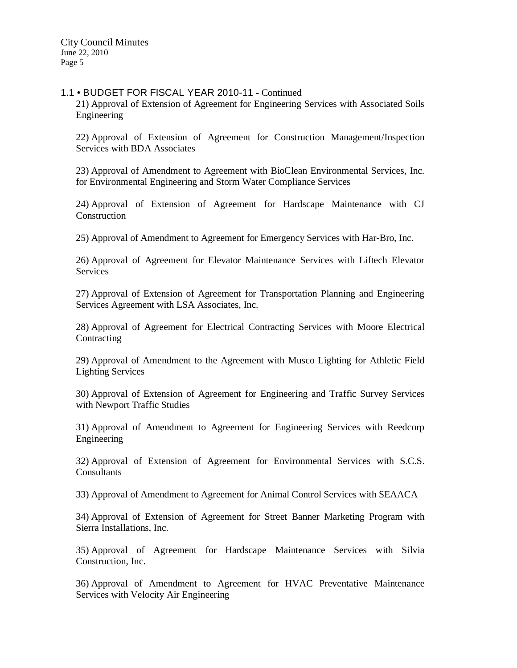### 1.1 • BUDGET FOR FISCAL YEAR 2010-11 - Continued

21) Approval of Extension of Agreement for Engineering Services with Associated Soils Engineering

22) Approval of Extension of Agreement for Construction Management/Inspection Services with BDA Associates

23) Approval of Amendment to Agreement with BioClean Environmental Services, Inc. for Environmental Engineering and Storm Water Compliance Services

24) Approval of Extension of Agreement for Hardscape Maintenance with CJ Construction

25) Approval of Amendment to Agreement for Emergency Services with Har-Bro, Inc.

26) Approval of Agreement for Elevator Maintenance Services with Liftech Elevator Services

27) Approval of Extension of Agreement for Transportation Planning and Engineering Services Agreement with LSA Associates, Inc.

28) Approval of Agreement for Electrical Contracting Services with Moore Electrical **Contracting** 

29) Approval of Amendment to the Agreement with Musco Lighting for Athletic Field Lighting Services

30) Approval of Extension of Agreement for Engineering and Traffic Survey Services with Newport Traffic Studies

31) Approval of Amendment to Agreement for Engineering Services with Reedcorp Engineering

32) Approval of Extension of Agreement for Environmental Services with S.C.S. **Consultants** 

33) Approval of Amendment to Agreement for Animal Control Services with SEAACA

34) Approval of Extension of Agreement for Street Banner Marketing Program with Sierra Installations, Inc.

35) Approval of Agreement for Hardscape Maintenance Services with Silvia Construction, Inc.

36) Approval of Amendment to Agreement for HVAC Preventative Maintenance Services with Velocity Air Engineering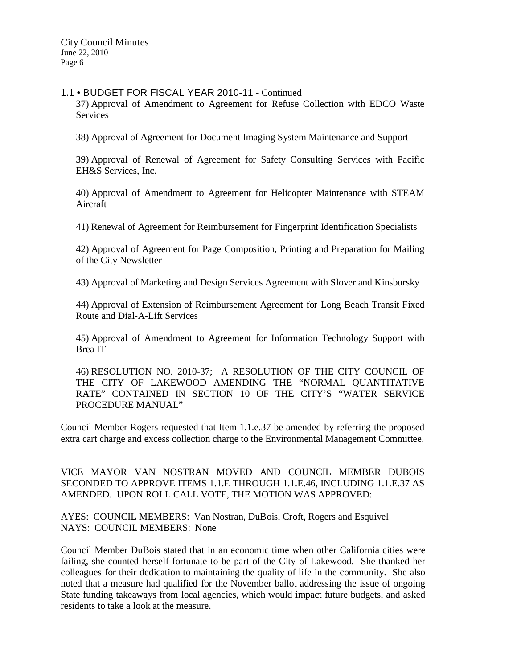### 1.1 • BUDGET FOR FISCAL YEAR 2010-11 - Continued

37) Approval of Amendment to Agreement for Refuse Collection with EDCO Waste Services

38) Approval of Agreement for Document Imaging System Maintenance and Support

39) Approval of Renewal of Agreement for Safety Consulting Services with Pacific EH&S Services, Inc.

40) Approval of Amendment to Agreement for Helicopter Maintenance with STEAM Aircraft

41) Renewal of Agreement for Reimbursement for Fingerprint Identification Specialists

42) Approval of Agreement for Page Composition, Printing and Preparation for Mailing of the City Newsletter

43) Approval of Marketing and Design Services Agreement with Slover and Kinsbursky

44) Approval of Extension of Reimbursement Agreement for Long Beach Transit Fixed Route and Dial-A-Lift Services

45) Approval of Amendment to Agreement for Information Technology Support with Brea IT

46) RESOLUTION NO. 2010-37; A RESOLUTION OF THE CITY COUNCIL OF THE CITY OF LAKEWOOD AMENDING THE "NORMAL QUANTITATIVE RATE" CONTAINED IN SECTION 10 OF THE CITY'S "WATER SERVICE PROCEDURE MANUAL"

Council Member Rogers requested that Item 1.1.e.37 be amended by referring the proposed extra cart charge and excess collection charge to the Environmental Management Committee.

VICE MAYOR VAN NOSTRAN MOVED AND COUNCIL MEMBER DUBOIS SECONDED TO APPROVE ITEMS 1.1.E THROUGH 1.1.E.46, INCLUDING 1.1.E.37 AS AMENDED. UPON ROLL CALL VOTE, THE MOTION WAS APPROVED:

AYES: COUNCIL MEMBERS: Van Nostran, DuBois, Croft, Rogers and Esquivel NAYS: COUNCIL MEMBERS: None

Council Member DuBois stated that in an economic time when other California cities were failing, she counted herself fortunate to be part of the City of Lakewood. She thanked her colleagues for their dedication to maintaining the quality of life in the community. She also noted that a measure had qualified for the November ballot addressing the issue of ongoing State funding takeaways from local agencies, which would impact future budgets, and asked residents to take a look at the measure.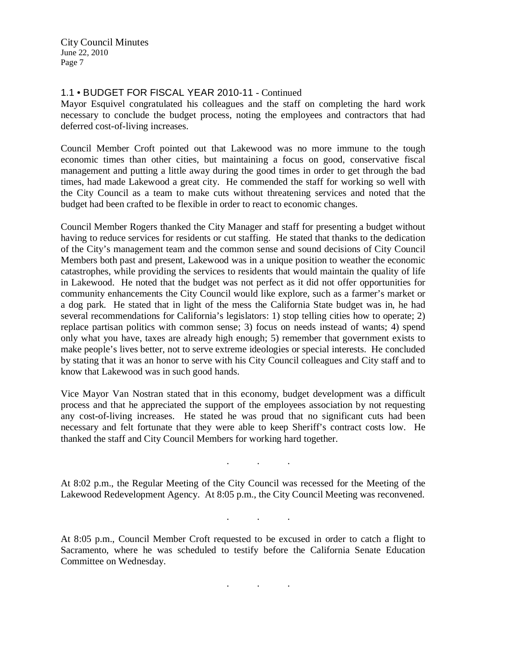## 1.1 • BUDGET FOR FISCAL YEAR 2010-11 - Continued

Mayor Esquivel congratulated his colleagues and the staff on completing the hard work necessary to conclude the budget process, noting the employees and contractors that had deferred cost-of-living increases.

Council Member Croft pointed out that Lakewood was no more immune to the tough economic times than other cities, but maintaining a focus on good, conservative fiscal management and putting a little away during the good times in order to get through the bad times, had made Lakewood a great city. He commended the staff for working so well with the City Council as a team to make cuts without threatening services and noted that the budget had been crafted to be flexible in order to react to economic changes.

Council Member Rogers thanked the City Manager and staff for presenting a budget without having to reduce services for residents or cut staffing. He stated that thanks to the dedication of the City's management team and the common sense and sound decisions of City Council Members both past and present, Lakewood was in a unique position to weather the economic catastrophes, while providing the services to residents that would maintain the quality of life in Lakewood. He noted that the budget was not perfect as it did not offer opportunities for community enhancements the City Council would like explore, such as a farmer's market or a dog park. He stated that in light of the mess the California State budget was in, he had several recommendations for California's legislators: 1) stop telling cities how to operate; 2) replace partisan politics with common sense; 3) focus on needs instead of wants; 4) spend only what you have, taxes are already high enough; 5) remember that government exists to make people's lives better, not to serve extreme ideologies or special interests. He concluded by stating that it was an honor to serve with his City Council colleagues and City staff and to know that Lakewood was in such good hands.

Vice Mayor Van Nostran stated that in this economy, budget development was a difficult process and that he appreciated the support of the employees association by not requesting any cost-of-living increases. He stated he was proud that no significant cuts had been necessary and felt fortunate that they were able to keep Sheriff's contract costs low. He thanked the staff and City Council Members for working hard together.

At 8:02 p.m., the Regular Meeting of the City Council was recessed for the Meeting of the Lakewood Redevelopment Agency. At 8:05 p.m., the City Council Meeting was reconvened.

. . .

. . .

At 8:05 p.m., Council Member Croft requested to be excused in order to catch a flight to Sacramento, where he was scheduled to testify before the California Senate Education Committee on Wednesday.

. . .